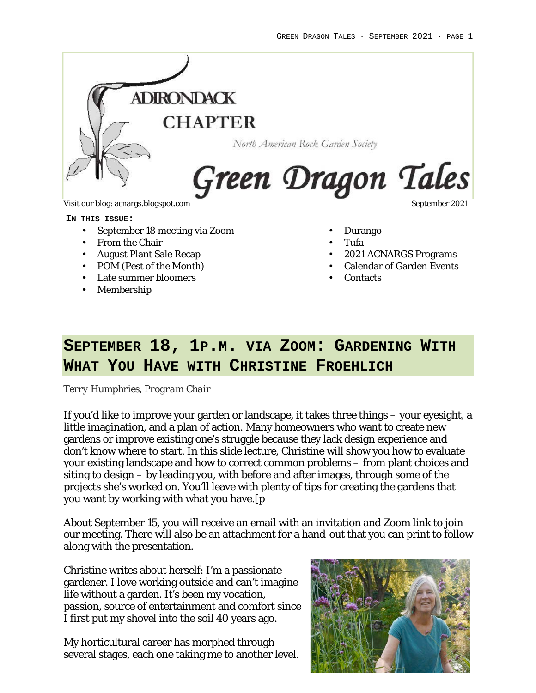

Visit our blog: acnargs.blogspot.com September 2021

### **IN THIS ISSUE:**

- September 18 meeting via Zoom
- From the Chair
- August Plant Sale Recap
- POM (Pest of the Month)
- Late summer bloomers
- Membership
- Durango
- Tufa
- 2021 ACNARGS Programs
- Calendar of Garden Events
- Contacts

## **SEPTEMBER 18, 1P.M. VIA ZOOM: GARDENING WITH WHAT YOU HAVE WITH CHRISTINE FROEHLICH**

*Terry Humphries, Program Chair*

If you'd like to improve your garden or landscape, it takes three things – your eyesight, a little imagination, and a plan of action. Many homeowners who want to create new gardens or improve existing one's struggle because they lack design experience and don't know where to start. In this slide lecture, Christine will show you how to evaluate your existing landscape and how to correct common problems – from plant choices and siting to design – by leading you, with before and after images, through some of the projects she's worked on. You'll leave with plenty of tips for creating the gardens that you want by working with what you have.[p

About September 15, you will receive an email with an invitation and Zoom link to join our meeting. There will also be an attachment for a hand-out that you can print to follow along with the presentation.

Christine writes about herself: I'm a passionate gardener. I love working outside and can't imagine life without a garden. It's been my vocation, passion, source of entertainment and comfort since I first put my shovel into the soil 40 years ago.

My horticultural career has morphed through several stages, each one taking me to another level.

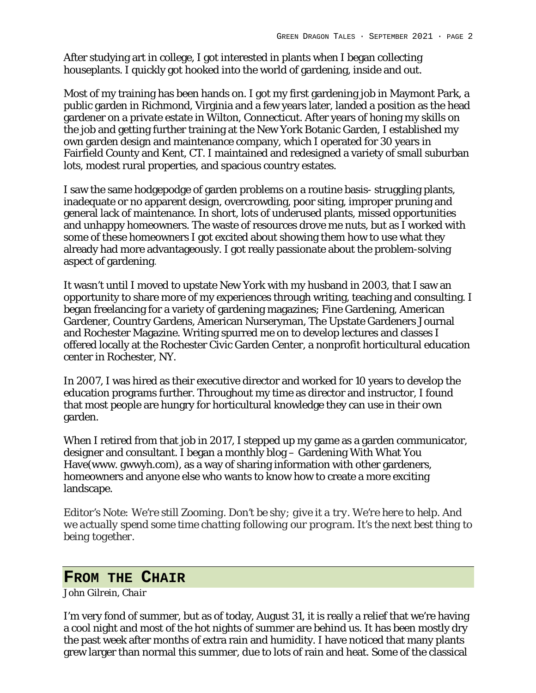After studying art in college, I got interested in plants when I began collecting houseplants. I quickly got hooked into the world of gardening, inside and out.

Most of my training has been hands on. I got my first gardening job in Maymont Park, a public garden in Richmond, Virginia and a few years later, landed a position as the head gardener on a private estate in Wilton, Connecticut. After years of honing my skills on the job and getting further training at the New York Botanic Garden, I established my own garden design and maintenance company, which I operated for 30 years in Fairfield County and Kent, CT. I maintained and redesigned a variety of small suburban lots, modest rural properties, and spacious country estates.

I saw the same hodgepodge of garden problems on a routine basis- struggling plants, inadequate or no apparent design, overcrowding, poor siting, improper pruning and general lack of maintenance. In short, lots of underused plants, missed opportunities and unhappy homeowners. The waste of resources drove me nuts, but as I worked with some of these homeowners I got excited about showing them how to use what they already had more advantageously. I got really passionate about the problem-solving aspect of gardening.

It wasn't until I moved to upstate New York with my husband in 2003, that I saw an opportunity to share more of my experiences through writing, teaching and consulting. I began freelancing for a variety of gardening magazines; Fine Gardening, American Gardener, Country Gardens, American Nurseryman, The Upstate Gardeners Journal and Rochester Magazine. Writing spurred me on to develop lectures and classes I offered locally at the Rochester Civic Garden Center, a nonprofit horticultural education center in Rochester, NY.

In 2007, I was hired as their executive director and worked for 10 years to develop the education programs further. Throughout my time as director and instructor, I found that most people are hungry for horticultural knowledge they can use in their own garden.

When I retired from that job in 2017, I stepped up my game as a garden communicator, designer and consultant. I began a monthly blog – Gardening With What You Have(www. gwwyh.com), as a way of sharing information with other gardeners, homeowners and anyone else who wants to know how to create a more exciting landscape.

*Editor's Note: We're still Zooming. Don't be shy; give it a try. We're here to help. And we actually spend some time chatting following our program. It's the next best thing to being together.*

## **FROM THE CHAIR**

*John Gilrein, Chair*

I'm very fond of summer, but as of today, August 31, it is really a relief that we're having a cool night and most of the hot nights of summer are behind us. It has been mostly dry the past week after months of extra rain and humidity. I have noticed that many plants grew larger than normal this summer, due to lots of rain and heat. Some of the classical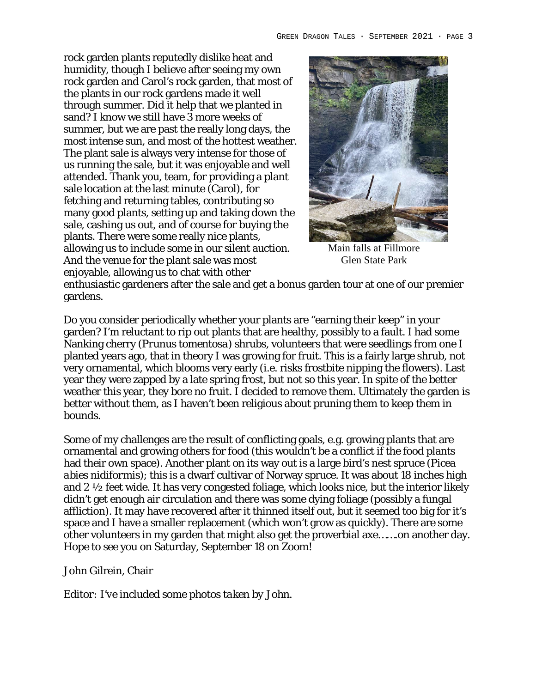rock garden plants reputedly dislike heat and humidity, though I believe after seeing my own rock garden and Carol's rock garden, that most of the plants in our rock gardens made it well through summer. Did it help that we planted in sand? I know we still have 3 more weeks of summer, but we are past the really long days, the most intense sun, and most of the hottest weather. The plant sale is always very intense for those of us running the sale, but it was enjoyable and well attended. Thank you, team, for providing a plant sale location at the last minute (Carol), for fetching and returning tables, contributing so many good plants, setting up and taking down the sale, cashing us out, and of course for buying the plants. There were some really nice plants, allowing us to include some in our silent auction. And the venue for the plant sale was most enjoyable, allowing us to chat with other



Main falls at Fillmore Glen State Park

enthusiastic gardeners after the sale and get a bonus garden tour at one of our premier gardens.

Do you consider periodically whether your plants are "earning their keep" in your garden? I'm reluctant to rip out plants that are healthy, possibly to a fault. I had some Nanking cherry (*Prunus tomentosa*) shrubs, volunteers that were seedlings from one I planted years ago, that in theory I was growing for fruit. This is a fairly large shrub, not very ornamental, which blooms very early (i.e. risks frostbite nipping the flowers). Last year they were zapped by a late spring frost, but not so this year. In spite of the better weather this year, they bore no fruit. I decided to remove them. Ultimately the garden is better without them, as I haven't been religious about pruning them to keep them in bounds.

Some of my challenges are the result of conflicting goals, e.g. growing plants that are ornamental and growing others for food (this wouldn't be a conflict if the food plants had their own space). Another plant on its way out is a large bird's nest spruce (*Picea abies nidiformis*); this is a dwarf cultivar of Norway spruce. It was about 18 inches high and 2 ½ feet wide. It has very congested foliage, which looks nice, but the interior likely didn't get enough air circulation and there was some dying foliage (possibly a fungal affliction). It may have recovered after it thinned itself out, but it seemed too big for it's space and I have a smaller replacement (which won't grow as quickly). There are some other volunteers in my garden that might also get the proverbial axe…….on another day. Hope to see you on Saturday, September 18 on Zoom!

John Gilrein, Chair

*Editor: I've included some photos taken by John.*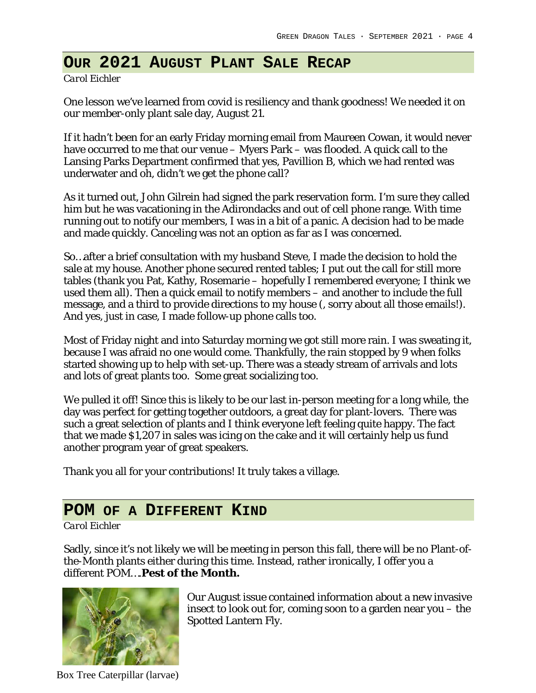## **OUR 2021 AUGUST PLANT SALE RECAP**

*Carol Eichler*

One lesson we've learned from covid is resiliency and thank goodness! We needed it on our member-only plant sale day, August 21.

If it hadn't been for an early Friday morning email from Maureen Cowan, it would never have occurred to me that our venue – Myers Park – was flooded. A quick call to the Lansing Parks Department confirmed that yes, Pavillion B, which we had rented was underwater and oh, didn't we get the phone call?

As it turned out, John Gilrein had signed the park reservation form. I'm sure they called him but he was vacationing in the Adirondacks and out of cell phone range. With time running out to notify our members, I was in a bit of a panic. A decision had to be made and made quickly. Canceling was not an option as far as I was concerned.

So…after a brief consultation with my husband Steve, I made the decision to hold the sale at my house. Another phone secured rented tables; I put out the call for still more tables (thank you Pat, Kathy, Rosemarie – hopefully I remembered everyone; I think we used them all). Then a quick email to notify members – and another to include the full message, and a third to provide directions to my house (, sorry about all those emails!). And yes, just in case, I made follow-up phone calls too.

Most of Friday night and into Saturday morning we got still more rain. I was sweating it, because I was afraid no one would come. Thankfully, the rain stopped by 9 when folks started showing up to help with set-up. There was a steady stream of arrivals and lots and lots of great plants too. Some great socializing too.

We pulled it off! Since this is likely to be our last in-person meeting for a long while, the day was perfect for getting together outdoors, a great day for plant-lovers. There was such a great selection of plants and I think everyone left feeling quite happy. The fact that we made \$1,207 in sales was icing on the cake and it will certainly help us fund another program year of great speakers.

Thank you all for your contributions! It truly takes a village.

## **POM OF A DIFFERENT KIND**

### *Carol Eichler*

Sadly, since it's not likely we will be meeting in person this fall, there will be no Plant-ofthe-Month plants either during this time. Instead, rather ironically, I offer you a different POM….**Pest of the Month.**



Box Tree Caterpillar (larvae)

Our August issue contained information about a new invasive insect to look out for, coming soon to a garden near you – the Spotted Lantern Fly.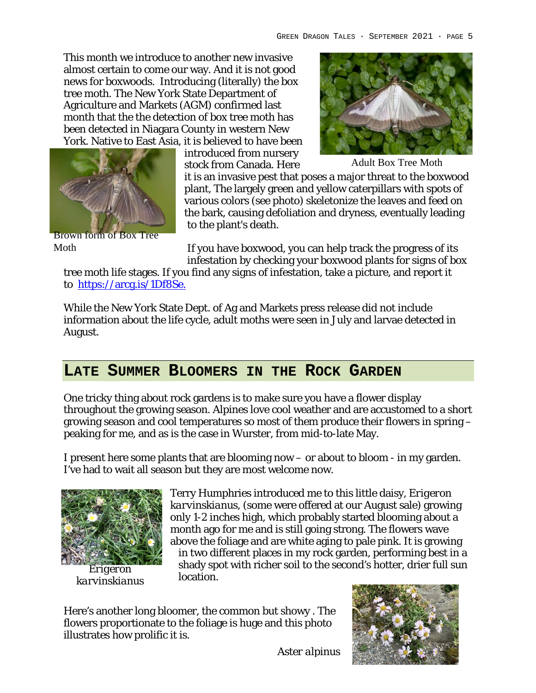This month we introduce to another new invasive almost certain to come our way. And it is not good news for boxwoods. Introducing (literally) the box tree moth. The New York State Department of Agriculture and Markets (AGM) confirmed last month that the the detection of box tree moth has been detected in Niagara County in western New York. Native to East Asia, it is believed to have been





Brown form of Box Tree Moth

introduced from nursery stock from Canada. Here

Adult Box Tree Moth

it is an invasive pest that poses a major threat to the boxwood plant, The largely green and yellow caterpillars with spots of various colors (see photo) skeletonize the leaves and feed on the bark, causing defoliation and dryness, eventually leading to the plant's death.

If you have boxwood, you can help track the progress of its infestation by checking your boxwood plants for signs of box

tree moth life stages. If you find any signs of infestation, take a picture, and report it to https://arcg.is/1Df8Se.

While the New York State Dept. of Ag and Markets press release did not include information about the life cycle, adult moths were seen in July and larvae detected in August.

## **LATE SUMMER BLOOMERS IN THE ROCK GARDEN**

One tricky thing about rock gardens is to make sure you have a flower display throughout the growing season. Alpines love cool weather and are accustomed to a short growing season and cool temperatures so most of them produce their flowers in spring – peaking for me, and as is the case in Wurster, from mid-to-late May.

I present here some plants that are blooming now – or about to bloom - in my garden. I've had to wait all season but they are most welcome now.



*Erigeron karvinskianus*

Terry Humphries introduced me to this little daisy, *Erigeron karvinskianus*, (some were offered at our August sale) growing only 1-2 inches high, which probably started blooming about a month ago for me and is still going strong. The flowers wave above the foliage and are white aging to pale pink. It is growing in two different places in my rock garden, performing best in a shady spot with richer soil to the second's hotter, drier full sun location.

Here's another long bloomer, the common but showy . The flowers proportionate to the foliage is huge and this photo illustrates how prolific it is.



*Aster alpinus*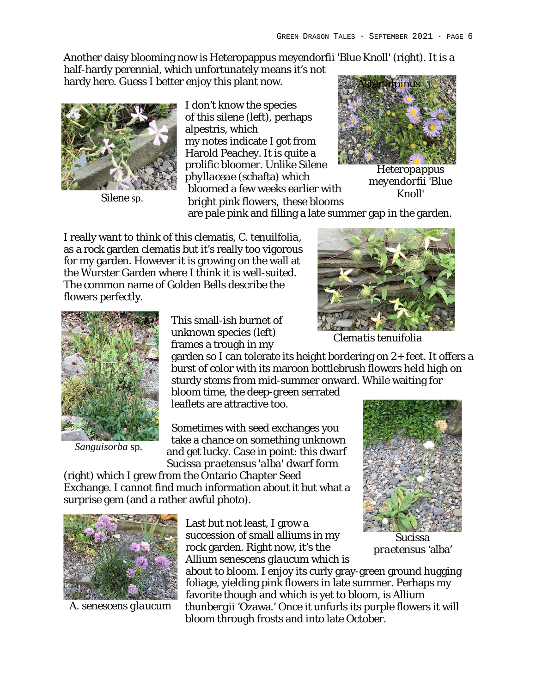Another daisy blooming now is Heteropappus meyendorfii 'Blue Knoll' (right). It is a

half-hardy perennial, which unfortunately means it's not hardy here. Guess I better enjoy this plant now.



I don't know the species of this silene (left), perhaps alpestris, which my notes indicate I got from Harold Peachey. It is quite a prolific bloomer. Unlike *Silene phyllaceae* (schafta) which bloomed a few weeks earlier with **bright pink flowers** earlier with the extension of the species of the species of the species of the species of the species of the species of the species of the species of the species of the species of the species of the s



*Heteropappus meyendorfii* 'Blue

are pale pink and filling a late summer gap in the garden.

I really want to think of this clematis, *C. tenuilfolia*, as a rock garden clematis but it's really too vigorous for my garden. However it is growing on the wall at the Wurster Garden where I think it is well-suited. The common name of Golden Bells describe the flowers perfectly.



*Clematis tenuifolia*



*Sanguisorba* sp.

This small-ish burnet of unknown species (left) frames a trough in my

garden so I can tolerate its height bordering on 2+ feet. It offers a burst of color with its maroon bottlebrush flowers held high on sturdy stems from mid-summer onward. While waiting for

bloom time, the deep-green serrated leaflets are attractive too.

Sometimes with seed exchanges you take a chance on something unknown and get lucky. Case in point: this dwarf *Sucissa praetensus 'alba'* dwarf form

(right) which I grew from the Ontario Chapter Seed Exchange. I cannot find much information about it but what a surprise gem (and a rather awful photo).



*A. senescens glaucum*

Last but not least, I grow a succession of small alliums in my rock garden. Right now, it's the *Allium senescens glaucum* which is

about to bloom. I enjoy its curly gray-green ground hugging foliage, yielding pink flowers in late summer. Perhaps my favorite though and which is yet to bloom, is *Allium thunbergii* 'Ozawa.' Once it unfurls its purple flowers it will bloom through frosts and into late October.



*Sucissa praetensus* 'alba'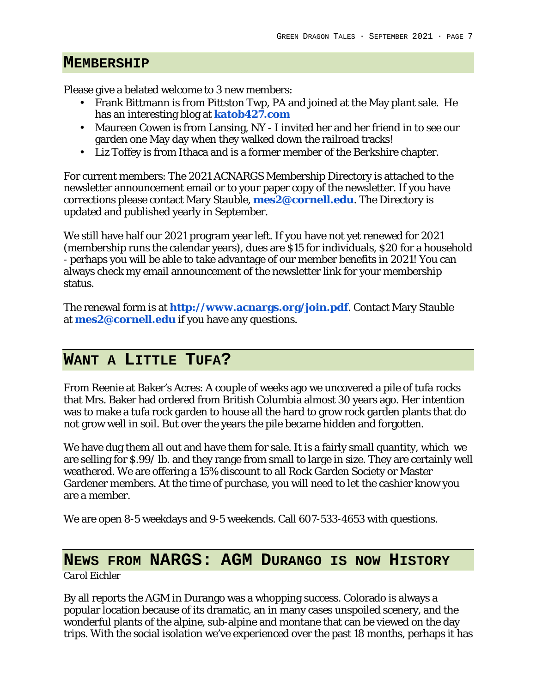### **MEMBERSHIP**

Please give a belated welcome to 3 new members:

- Frank Bittmann is from Pittston Twp, PA and joined at the May plant sale. He has an interesting blog at **katob427.com**
- Maureen Cowen is from Lansing, NY I invited her and her friend in to see our garden one May day when they walked down the railroad tracks!
- Liz Toffey is from Ithaca and is a former member of the Berkshire chapter.

For current members: The 2021 ACNARGS Membership Directory is attached to the newsletter announcement email or to your paper copy of the newsletter. If you have corrections please contact Mary Stauble, **mes2@cornell.edu**. The Directory is updated and published yearly in September.

We still have half our 2021 program year left. If you have not yet renewed for 2021 (membership runs the calendar years), dues are \$15 for individuals, \$20 for a household - perhaps you will be able to take advantage of our member benefits in 2021! You can always check my email announcement of the newsletter link for your membership status.

The renewal form is at **http://www.acnargs.org/join.pdf**. Contact Mary Stauble at **mes2@cornell.edu** if you have any questions.

## **WANT A LITTLE TUFA?**

From Reenie at Baker's Acres: A couple of weeks ago we uncovered a pile of tufa rocks that Mrs. Baker had ordered from British Columbia almost 30 years ago. Her intention was to make a tufa rock garden to house all the hard to grow rock garden plants that do not grow well in soil. But over the years the pile became hidden and forgotten.

We have dug them all out and have them for sale. It is a fairly small quantity, which we are selling for \$.99/ lb. and they range from small to large in size. They are certainly well weathered. We are offering a 15% discount to all Rock Garden Society or Master Gardener members. At the time of purchase, you will need to let the cashier know you are a member.

We are open 8-5 weekdays and 9-5 weekends. Call 607-533-4653 with questions.

## **NEWS FROM NARGS: AGM DURANGO IS NOW HISTORY**

*Carol Eichler*

By all reports the AGM in Durango was a whopping success. Colorado is always a popular location because of its dramatic, an in many cases unspoiled scenery, and the wonderful plants of the alpine, sub-alpine and montane that can be viewed on the day trips. With the social isolation we've experienced over the past 18 months, perhaps it has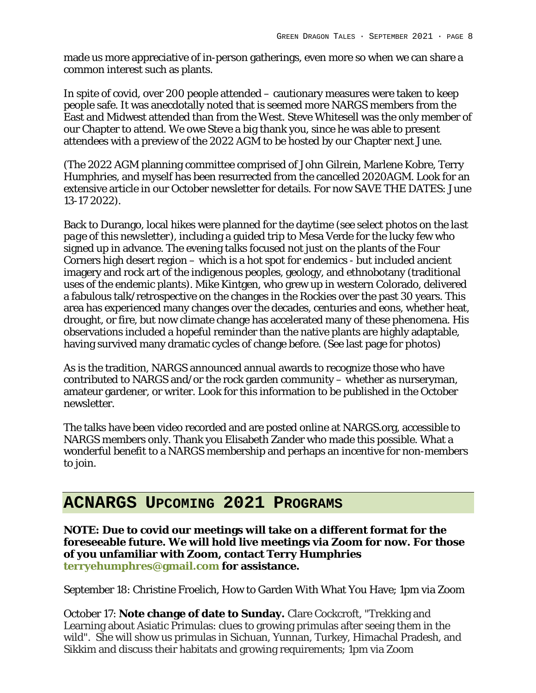made us more appreciative of in-person gatherings, even more so when we can share a common interest such as plants.

In spite of covid, over 200 people attended – cautionary measures were taken to keep people safe. It was anecdotally noted that is seemed more NARGS members from the East and Midwest attended than from the West. Steve Whitesell was the only member of our Chapter to attend. We owe Steve a big thank you, since he was able to present attendees with a preview of the 2022 AGM to be hosted by our Chapter next June.

(The 2022 AGM planning committee comprised of John Gilrein, Marlene Kobre, Terry Humphries, and myself has been resurrected from the cancelled 2020AGM. Look for an extensive article in our October newsletter for details. For now SAVE THE DATES: June 13-17 2022).

Back to Durango, local hikes were planned for the daytime *(see select photos on the last page of this newsletter)*, including a guided trip to Mesa Verde for the lucky few who signed up in advance. The evening talks focused not just on the plants of the Four Corners high desert region – which is a hot spot for endemics - but included ancient imagery and rock art of the indigenous peoples, geology, and ethnobotany (traditional uses of the endemic plants). Mike Kintgen, who grew up in western Colorado, delivered a fabulous talk/retrospective on the changes in the Rockies over the past 30 years. This area has experienced many changes over the decades, centuries and eons, whether heat, drought, or fire, but now climate change has accelerated many of these phenomena. His observations included a hopeful reminder than the native plants are highly adaptable, having survived many dramatic cycles of change before. (See last page for photos)

As is the tradition, NARGS announced annual awards to recognize those who have contributed to NARGS and/or the rock garden community – whether as nurseryman, amateur gardener, or writer. Look for this information to be published in the October newsletter.

The talks have been video recorded and are posted online at NARGS.org, accessible to NARGS members only. Thank you Elisabeth Zander who made this possible. What a wonderful benefit to a NARGS membership and perhaps an incentive for non-members to join.

## **ACNARGS UPCOMING 2021 PROGRAMS**

**NOTE: Due to covid our meetings will take on a different format for the foreseeable future. We will hold live meetings via Zoom for now. For those of you unfamiliar with Zoom, contact Terry Humphries terryehumphres@gmail.com for assistance.** 

September 18: Christine Froelich, How to Garden With What You Have; 1pm via Zoom

October 17: **Note change of date to Sunday.** Clare Cockcroft, "Trekking and Learning about Asiatic Primulas: clues to growing primulas after seeing them in the wild". She will show us primulas in Sichuan, Yunnan, Turkey, Himachal Pradesh, and Sikkim and discuss their habitats and growing requirements; 1pm via Zoom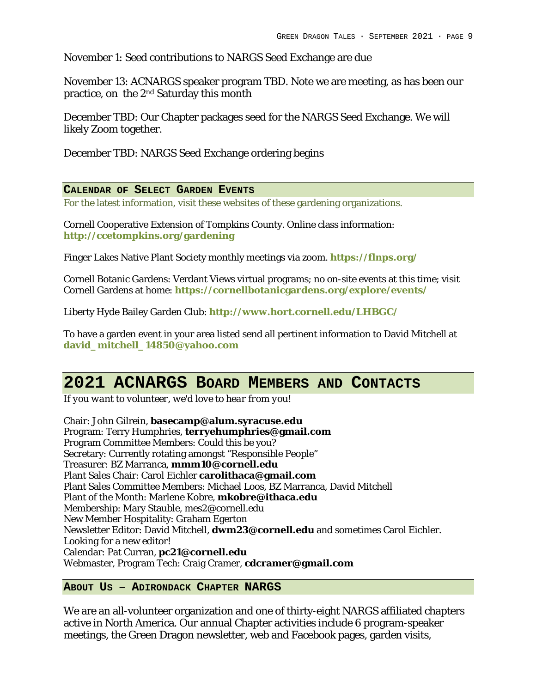November 1: Seed contributions to NARGS Seed Exchange are due

November 13: ACNARGS speaker program TBD. Note we are meeting, as has been our practice, on the 2nd Saturday this month

December TBD: Our Chapter packages seed for the NARGS Seed Exchange. We will likely Zoom together.

December TBD: NARGS Seed Exchange ordering begins

### **CALENDAR OF SELECT GARDEN EVENTS**

For the latest information, visit these websites of these gardening organizations.

Cornell Cooperative Extension of Tompkins County. Online class information: **http://ccetompkins.org/gardening**

Finger Lakes Native Plant Society monthly meetings via zoom. **https://flnps.org/**

Cornell Botanic Gardens: Verdant Views virtual programs; no on-site events at this time; visit Cornell Gardens at home: **https://cornellbotanicgardens.org/explore/events/**

Liberty Hyde Bailey Garden Club: **http://www.hort.cornell.edu/LHBGC/**

To have a garden event in your area listed send all pertinent information to David Mitchell at **david\_mitchell\_14850@yahoo.com**

## **2021 ACNARGS BOARD MEMBERS AND CONTACTS**

*If you want to volunteer, we'd love to hear from you!*

Chair: John Gilrein, **basecamp@alum.syracuse.edu** Program: Terry Humphries, **terryehumphries@gmail.com** Program Committee Members: Could this be you? Secretary: Currently rotating amongst "Responsible People" Treasurer: BZ Marranca, **mmm10@cornell.edu** Plant Sales Chair: Carol Eichler **carolithaca@gmail.com** Plant Sales Committee Members: Michael Loos, BZ Marranca, David Mitchell Plant of the Month: Marlene Kobre, **mkobre@ithaca.edu** Membership: Mary Stauble, mes2@cornell.edu New Member Hospitality: Graham Egerton Newsletter Editor: David Mitchell, **dwm23@cornell.edu** and sometimes Carol Eichler. Looking for a new editor! Calendar: Pat Curran, **pc21@cornell.edu** Webmaster, Program Tech: Craig Cramer, **cdcramer@gmail.com**

### **ABOUT US – ADIRONDACK CHAPTER NARGS**

We are an all-volunteer organization and one of thirty-eight NARGS affiliated chapters active in North America. Our annual Chapter activities include 6 program-speaker meetings, the Green Dragon newsletter, web and Facebook pages, garden visits,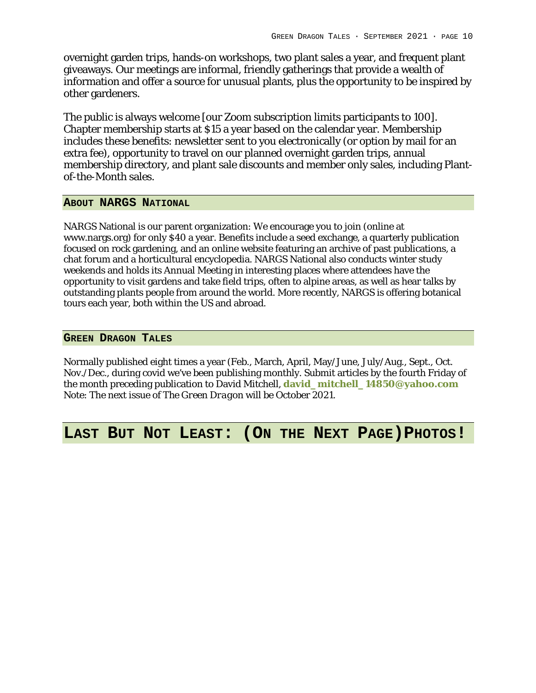overnight garden trips, hands-on workshops, two plant sales a year, and frequent plant giveaways. Our meetings are informal, friendly gatherings that provide a wealth of information and offer a source for unusual plants, plus the opportunity to be inspired by other gardeners.

The public is always welcome [our Zoom subscription limits participants to 100]. Chapter membership starts at \$15 a year based on the calendar year. Membership includes these benefits: newsletter sent to you electronically (or option by mail for an extra fee), opportunity to travel on our planned overnight garden trips, annual membership directory, and plant sale discounts and member only sales, including Plantof-the-Month sales.

### **ABOUT NARGS NATIONAL**

NARGS National is our parent organization: We encourage you to join (online at www.nargs.org) for only \$40 a year. Benefits include a seed exchange, a quarterly publication focused on rock gardening, and an online website featuring an archive of past publications, a chat forum and a horticultural encyclopedia. NARGS National also conducts winter study weekends and holds its Annual Meeting in interesting places where attendees have the opportunity to visit gardens and take field trips, often to alpine areas, as well as hear talks by outstanding plants people from around the world. More recently, NARGS is offering botanical tours each year, both within the US and abroad.

### **GREEN DRAGON TALES**

Normally published eight times a year (Feb., March, April, May/June, July/Aug., Sept., Oct. Nov./Dec., during covid we've been publishing monthly. Submit articles by the fourth Friday of the month preceding publication to David Mitchell, **david\_mitchell\_14850@yahoo.com** Note: The next issue of *The Green Dragon* will be October 2021.

## **LAST BUT NOT LEAST: (ON THE NEXT PAGE)PHOTOS!**